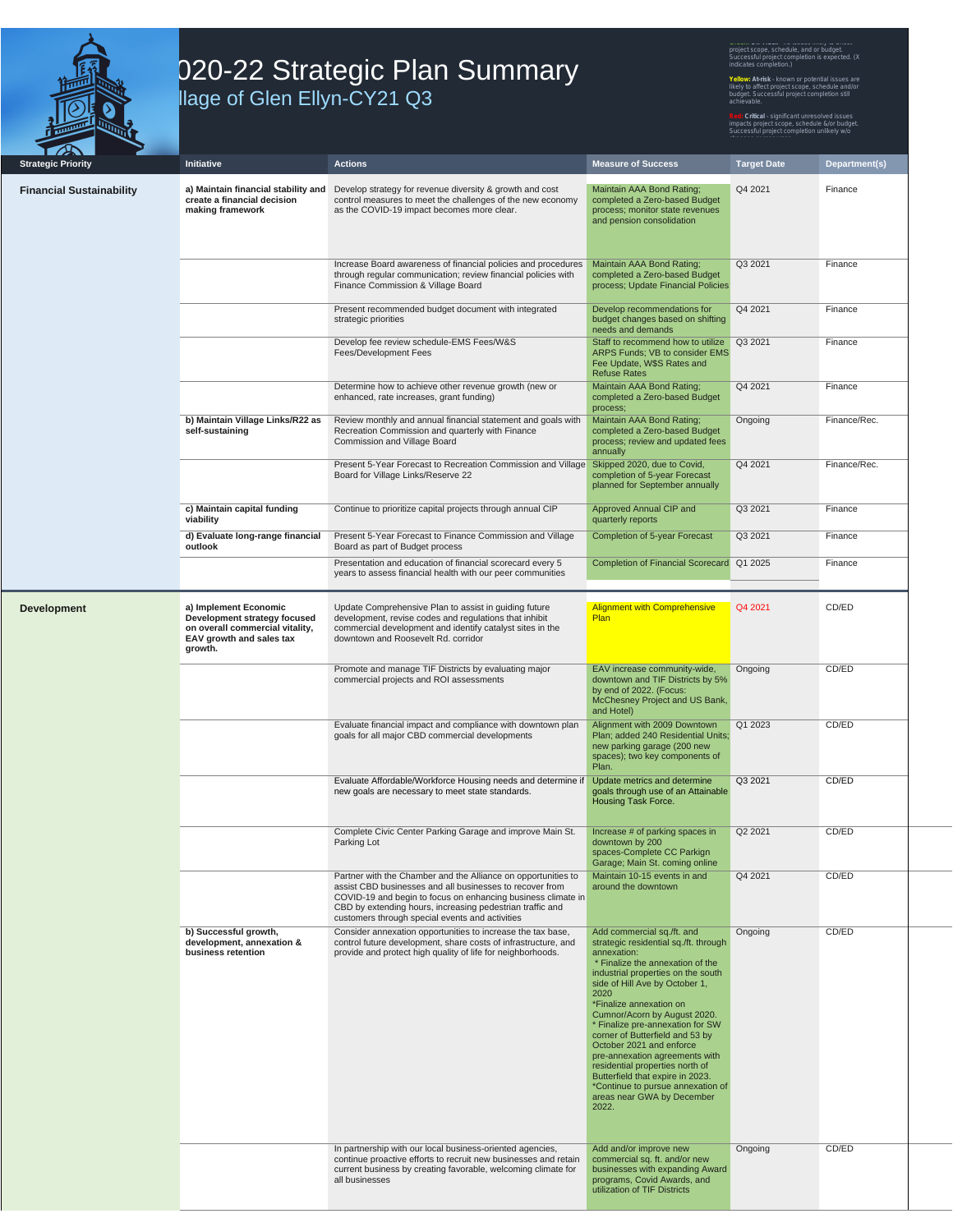

## **20-22 Strategic Plan Summary Nillage of Glen Ellyn-CY21 Q3**

project scope, schedule, and or budget. Successful project completion is expected. (X indicates completion.) **Yellow: At-risk** – known or potential issues are likely to affect project scope, schedule and/or budget. Successful project completion still

**Red: Critical** – significant unresolved issues impacts project scope, schedule &/or budget. Successful project completion unlikely w/o

| <b>Strategic Priority</b>       | Initiative                                                                                                                      | <b>Actions</b>                                                                                                                                                                                                                                                                                            | <b>Measure of Success</b>                                                                                                                                                                                                                                                                                                                                                                                                                                                                                                                                                           | <b>Target Date</b> | Department(s)  |
|---------------------------------|---------------------------------------------------------------------------------------------------------------------------------|-----------------------------------------------------------------------------------------------------------------------------------------------------------------------------------------------------------------------------------------------------------------------------------------------------------|-------------------------------------------------------------------------------------------------------------------------------------------------------------------------------------------------------------------------------------------------------------------------------------------------------------------------------------------------------------------------------------------------------------------------------------------------------------------------------------------------------------------------------------------------------------------------------------|--------------------|----------------|
| <b>Financial Sustainability</b> | create a financial decision<br>making framework                                                                                 | a) Maintain financial stability and Develop strategy for revenue diversity & growth and cost<br>control measures to meet the challenges of the new economy<br>as the COVID-19 impact becomes more clear.                                                                                                  | Maintain AAA Bond Rating;<br>completed a Zero-based Budget<br>process; monitor state revenues<br>and pension consolidation                                                                                                                                                                                                                                                                                                                                                                                                                                                          | Q4 2021            | Finance        |
|                                 |                                                                                                                                 | Increase Board awareness of financial policies and procedures<br>through regular communication; review financial policies with<br>Finance Commission & Village Board                                                                                                                                      | Maintain AAA Bond Rating;<br>completed a Zero-based Budget<br>process; Update Financial Policies                                                                                                                                                                                                                                                                                                                                                                                                                                                                                    | Q3 2021            | Finance        |
|                                 |                                                                                                                                 | Present recommended budget document with integrated<br>strategic priorities                                                                                                                                                                                                                               | Develop recommendations for<br>budget changes based on shifting<br>needs and demands                                                                                                                                                                                                                                                                                                                                                                                                                                                                                                | Q4 2021            | Finance        |
|                                 |                                                                                                                                 | Develop fee review schedule-EMS Fees/W&S<br>Fees/Development Fees                                                                                                                                                                                                                                         | Staff to recommend how to utilize<br>ARPS Funds; VB to consider EMS<br>Fee Update, W\$S Rates and<br><b>Refuse Rates</b>                                                                                                                                                                                                                                                                                                                                                                                                                                                            | Q3 2021            | Finance        |
|                                 |                                                                                                                                 | Determine how to achieve other revenue growth (new or<br>enhanced, rate increases, grant funding)                                                                                                                                                                                                         | Maintain AAA Bond Rating;<br>completed a Zero-based Budget<br>process;                                                                                                                                                                                                                                                                                                                                                                                                                                                                                                              | Q4 2021            | Finance        |
|                                 | b) Maintain Village Links/R22 as<br>self-sustaining                                                                             | Review monthly and annual financial statement and goals with<br>Recreation Commission and quarterly with Finance<br>Commission and Village Board                                                                                                                                                          | Maintain AAA Bond Rating;<br>completed a Zero-based Budget<br>process; review and updated fees<br>annually                                                                                                                                                                                                                                                                                                                                                                                                                                                                          | Ongoing            | Finance/Rec.   |
|                                 |                                                                                                                                 | Present 5-Year Forecast to Recreation Commission and Village<br>Board for Village Links/Reserve 22                                                                                                                                                                                                        | Skipped 2020, due to Covid,<br>completion of 5-year Forecast<br>planned for September annually                                                                                                                                                                                                                                                                                                                                                                                                                                                                                      | Q4 2021            | Finance/Rec.   |
|                                 | c) Maintain capital funding<br>viability                                                                                        | Continue to prioritize capital projects through annual CIP                                                                                                                                                                                                                                                | Approved Annual CIP and<br>quarterly reports                                                                                                                                                                                                                                                                                                                                                                                                                                                                                                                                        | Q3 2021            | Finance        |
|                                 | d) Evaluate long-range financial<br>outlook                                                                                     | Present 5-Year Forecast to Finance Commission and Village<br>Board as part of Budget process                                                                                                                                                                                                              | Completion of 5-year Forecast                                                                                                                                                                                                                                                                                                                                                                                                                                                                                                                                                       | Q3 2021            | Finance        |
|                                 |                                                                                                                                 | Presentation and education of financial scorecard every 5<br>years to assess financial health with our peer communities                                                                                                                                                                                   | Completion of Financial Scorecard Q1 2025                                                                                                                                                                                                                                                                                                                                                                                                                                                                                                                                           |                    | Finance        |
| <b>Development</b>              | a) Implement Economic<br>Development strategy focused<br>on overall commercial vitality,<br>EAV growth and sales tax<br>growth. | Update Comprehensive Plan to assist in guiding future<br>development, revise codes and regulations that inhibit<br>commercial development and identify catalyst sites in the<br>downtown and Roosevelt Rd. corridor                                                                                       | <b>Alignment with Comprehensive</b><br>Plan                                                                                                                                                                                                                                                                                                                                                                                                                                                                                                                                         | Q4 2021            | CD/ED          |
|                                 |                                                                                                                                 | Promote and manage TIF Districts by evaluating major<br>commercial projects and ROI assessments                                                                                                                                                                                                           | EAV increase community-wide,<br>downtown and TIF Districts by 5%<br>by end of 2022. (Focus:<br>McChesney Project and US Bank,<br>and Hotel)                                                                                                                                                                                                                                                                                                                                                                                                                                         | Ongoing            | CD/ED          |
|                                 |                                                                                                                                 | Evaluate financial impact and compliance with downtown plan<br>goals for all major CBD commercial developments                                                                                                                                                                                            | Alignment with 2009 Downtown<br>Plan; added 240 Residential Units;<br>new parking garage (200 new<br>spaces); two key components of<br>Plan.                                                                                                                                                                                                                                                                                                                                                                                                                                        | Q1 2023            | CD/ED          |
|                                 |                                                                                                                                 | Evaluate Affordable/Workforce Housing needs and determine if<br>new goals are necessary to meet state standards.                                                                                                                                                                                          | Update metrics and determine<br>goals through use of an Attainable<br>Housing Task Force.                                                                                                                                                                                                                                                                                                                                                                                                                                                                                           | Q3 2021            | CD/ED          |
|                                 |                                                                                                                                 | Complete Civic Center Parking Garage and improve Main St.<br>Parking Lot                                                                                                                                                                                                                                  | Increase # of parking spaces in<br>downtown by 200<br>spaces-Complete CC Parkign<br>Garage; Main St. coming online                                                                                                                                                                                                                                                                                                                                                                                                                                                                  | Q2 2021            | CD/ED          |
|                                 |                                                                                                                                 | Partner with the Chamber and the Alliance on opportunities to<br>assist CBD businesses and all businesses to recover from<br>COVID-19 and begin to focus on enhancing business climate in<br>CBD by extending hours, increasing pedestrian traffic and<br>customers through special events and activities | Maintain 10-15 events in and<br>around the downtown                                                                                                                                                                                                                                                                                                                                                                                                                                                                                                                                 | Q4 2021            | CD/ED          |
|                                 | b) Successful growth,<br>development, annexation &<br>business retention                                                        | Consider annexation opportunities to increase the tax base,<br>control future development, share costs of infrastructure, and<br>provide and protect high quality of life for neighborhoods.<br>In partnership with our local business-oriented agencies,                                                 | Add commercial sq./ft. and<br>strategic residential sq./ft. through<br>annexation:<br>* Finalize the annexation of the<br>industrial properties on the south<br>side of Hill Ave by October 1,<br>2020<br>*Finalize annexation on<br>Cumnor/Acorn by August 2020.<br>* Finalize pre-annexation for SW<br>corner of Butterfield and 53 by<br>October 2021 and enforce<br>pre-annexation agreements with<br>residential properties north of<br>Butterfield that expire in 2023.<br>*Continue to pursue annexation of<br>areas near GWA by December<br>2022.<br>Add and/or improve new | Ongoing<br>Ongoing | CD/ED<br>CD/ED |
|                                 |                                                                                                                                 | continue proactive efforts to recruit new businesses and retain<br>current business by creating favorable, welcoming climate for<br>all businesses                                                                                                                                                        | commercial sq. ft. and/or new<br>businesses with expanding Award<br>programs, Covid Awards, and<br>utilization of TIF Districts                                                                                                                                                                                                                                                                                                                                                                                                                                                     |                    |                |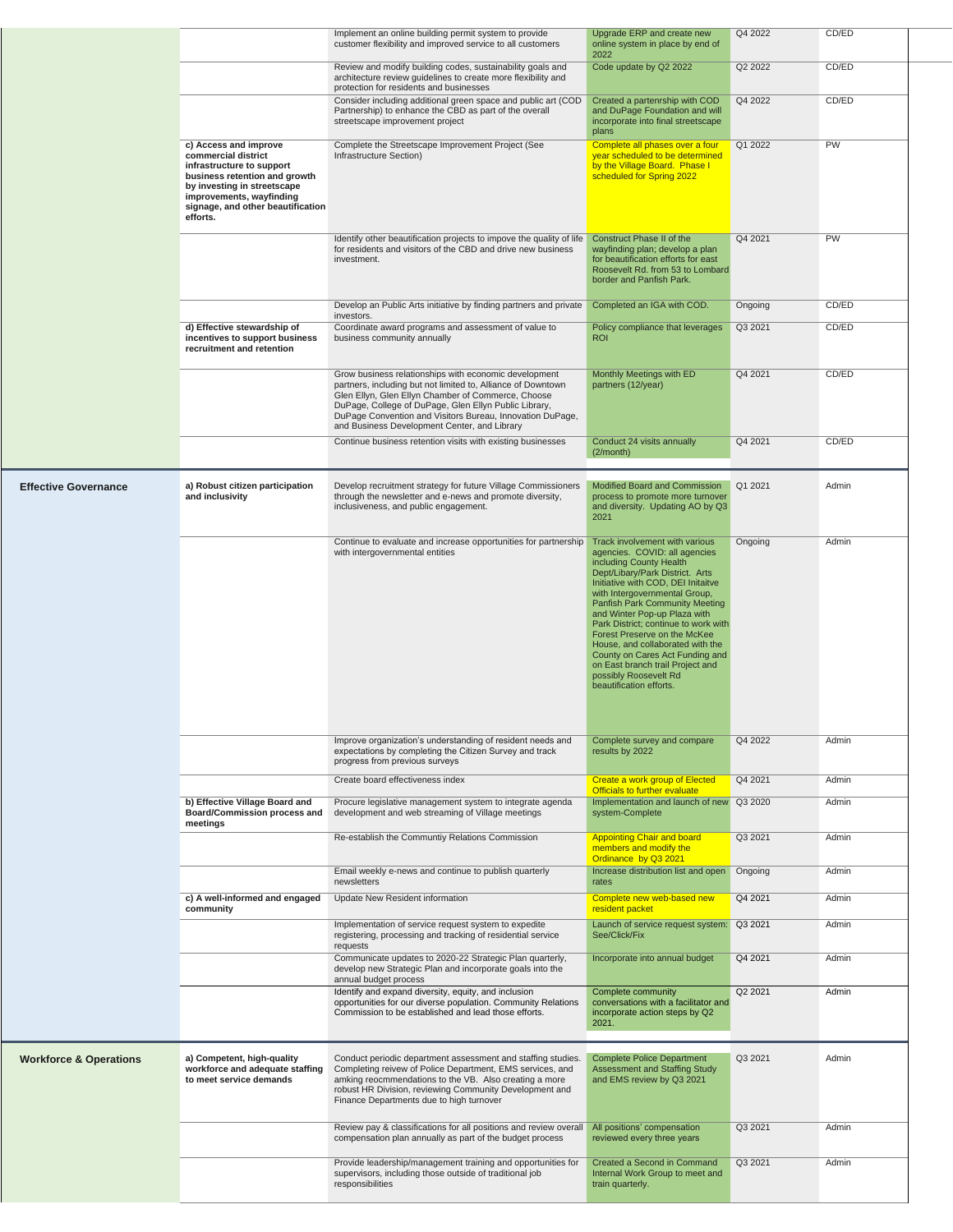|                                   |                                                                                                                                                                                                                        | Implement an online building permit system to provide<br>customer flexibility and improved service to all customers                                                                                                                                                                                                                               | Upgrade ERP and create new<br>online system in place by end of<br>2022                                                                                                                                                                                                                                                                                                                                                                                                                                        | Q4 2022 | CD/ED     |
|-----------------------------------|------------------------------------------------------------------------------------------------------------------------------------------------------------------------------------------------------------------------|---------------------------------------------------------------------------------------------------------------------------------------------------------------------------------------------------------------------------------------------------------------------------------------------------------------------------------------------------|---------------------------------------------------------------------------------------------------------------------------------------------------------------------------------------------------------------------------------------------------------------------------------------------------------------------------------------------------------------------------------------------------------------------------------------------------------------------------------------------------------------|---------|-----------|
|                                   |                                                                                                                                                                                                                        | Review and modify building codes, sustainability goals and<br>architecture review quidelines to create more flexibility and<br>protection for residents and businesses                                                                                                                                                                            | Code update by Q2 2022                                                                                                                                                                                                                                                                                                                                                                                                                                                                                        | Q2 2022 | CD/ED     |
|                                   |                                                                                                                                                                                                                        | Consider including additional green space and public art (COD<br>Partnership) to enhance the CBD as part of the overall<br>streetscape improvement project                                                                                                                                                                                        | Created a partenrship with COD<br>and DuPage Foundation and will<br>incorporate into final streetscape<br>plans                                                                                                                                                                                                                                                                                                                                                                                               | Q4 2022 | CD/ED     |
|                                   | c) Access and improve<br>commercial district<br>infrastructure to support<br>business retention and growth<br>by investing in streetscape<br>improvements, wayfinding<br>signage, and other beautification<br>efforts. | Complete the Streetscape Improvement Project (See<br>Infrastructure Section)                                                                                                                                                                                                                                                                      | Complete all phases over a four<br>year scheduled to be determined<br>by the Village Board. Phase I<br>scheduled for Spring 2022                                                                                                                                                                                                                                                                                                                                                                              | Q1 2022 | <b>PW</b> |
|                                   |                                                                                                                                                                                                                        | Identify other beautification projects to impove the quality of life<br>for residents and visitors of the CBD and drive new business<br>investment.                                                                                                                                                                                               | Construct Phase II of the<br>wayfinding plan; develop a plan<br>for beautification efforts for east<br>Roosevelt Rd. from 53 to Lombard<br>border and Panfish Park.                                                                                                                                                                                                                                                                                                                                           | Q4 2021 | PW        |
|                                   |                                                                                                                                                                                                                        | Develop an Public Arts initiative by finding partners and private<br>investors.                                                                                                                                                                                                                                                                   | Completed an IGA with COD.                                                                                                                                                                                                                                                                                                                                                                                                                                                                                    | Ongoing | CD/ED     |
|                                   | d) Effective stewardship of<br>incentives to support business<br>recruitment and retention                                                                                                                             | Coordinate award programs and assessment of value to<br>business community annually                                                                                                                                                                                                                                                               | Policy compliance that leverages<br><b>ROI</b>                                                                                                                                                                                                                                                                                                                                                                                                                                                                | Q3 2021 | CD/ED     |
|                                   |                                                                                                                                                                                                                        | Grow business relationships with economic development<br>partners, including but not limited to, Alliance of Downtown<br>Glen Ellyn, Glen Ellyn Chamber of Commerce, Choose<br>DuPage, College of DuPage, Glen Ellyn Public Library,<br>DuPage Convention and Visitors Bureau, Innovation DuPage,<br>and Business Development Center, and Library | Monthly Meetings with ED<br>partners (12/year)                                                                                                                                                                                                                                                                                                                                                                                                                                                                | Q4 2021 | CD/ED     |
|                                   |                                                                                                                                                                                                                        | Continue business retention visits with existing businesses                                                                                                                                                                                                                                                                                       | Conduct 24 visits annually<br>(2/month)                                                                                                                                                                                                                                                                                                                                                                                                                                                                       | Q4 2021 | CD/ED     |
| <b>Effective Governance</b>       | a) Robust citizen participation<br>and inclusivity                                                                                                                                                                     | Develop recruitment strategy for future Village Commissioners<br>through the newsletter and e-news and promote diversity,<br>inclusiveness, and public engagement.                                                                                                                                                                                | Modified Board and Commission<br>process to promote more turnover<br>and diversity. Updating AO by Q3<br>2021                                                                                                                                                                                                                                                                                                                                                                                                 | Q1 2021 | Admin     |
|                                   |                                                                                                                                                                                                                        | Continue to evaluate and increase opportunities for partnership<br>with intergovernmental entities                                                                                                                                                                                                                                                | Track involvement with various<br>agencies. COVID: all agencies<br>including County Health<br>Dept/Libary/Park District. Arts<br>Initiative with COD, DEI Initaitve<br>with Intergovernmental Group,<br>Panfish Park Community Meeting<br>and Winter Pop-up Plaza with<br>Park District; continue to work with<br>Forest Preserve on the McKee<br>House, and collaborated with the<br>County on Cares Act Funding and<br>on East branch trail Project and<br>possibly Roosevelt Rd<br>beautification efforts. | Ongoing | Admin     |
|                                   |                                                                                                                                                                                                                        | Improve organization's understanding of resident needs and<br>expectations by completing the Citizen Survey and track<br>progress from previous surveys                                                                                                                                                                                           | Complete survey and compare<br>results by 2022                                                                                                                                                                                                                                                                                                                                                                                                                                                                | Q4 2022 | Admin     |
|                                   |                                                                                                                                                                                                                        | Create board effectiveness index                                                                                                                                                                                                                                                                                                                  | Create a work group of Elected<br>Officials to further evaluate                                                                                                                                                                                                                                                                                                                                                                                                                                               | Q4 2021 | Admin     |
|                                   | b) Effective Village Board and<br><b>Board/Commission process and</b><br>meetings                                                                                                                                      | Procure legislative management system to integrate agenda<br>development and web streaming of Village meetings                                                                                                                                                                                                                                    | Implementation and launch of new<br>system-Complete                                                                                                                                                                                                                                                                                                                                                                                                                                                           | Q3 2020 | Admin     |
|                                   |                                                                                                                                                                                                                        | Re-establish the Communtiy Relations Commission                                                                                                                                                                                                                                                                                                   | <b>Appointing Chair and board</b><br>members and modify the<br>Ordinance by Q3 2021                                                                                                                                                                                                                                                                                                                                                                                                                           | Q3 2021 | Admin     |
|                                   |                                                                                                                                                                                                                        | Email weekly e-news and continue to publish quarterly<br>newsletters                                                                                                                                                                                                                                                                              | Increase distribution list and open<br>rates                                                                                                                                                                                                                                                                                                                                                                                                                                                                  | Ongoing | Admin     |
|                                   | c) A well-informed and engaged<br>community                                                                                                                                                                            | Update New Resident information                                                                                                                                                                                                                                                                                                                   | Complete new web-based new<br>resident packet                                                                                                                                                                                                                                                                                                                                                                                                                                                                 | Q4 2021 | Admin     |
|                                   |                                                                                                                                                                                                                        | Implementation of service request system to expedite<br>registering, processing and tracking of residential service<br>requests                                                                                                                                                                                                                   | Launch of service request system:<br>See/Click/Fix                                                                                                                                                                                                                                                                                                                                                                                                                                                            | Q3 2021 | Admin     |
|                                   |                                                                                                                                                                                                                        | Communicate updates to 2020-22 Strategic Plan quarterly,<br>develop new Strategic Plan and incorporate goals into the<br>annual budget process                                                                                                                                                                                                    | Incorporate into annual budget                                                                                                                                                                                                                                                                                                                                                                                                                                                                                | Q4 2021 | Admin     |
|                                   |                                                                                                                                                                                                                        | Identify and expand diversity, equity, and inclusion<br>opportunities for our diverse population. Community Relations<br>Commission to be established and lead those efforts.                                                                                                                                                                     | Complete community<br>conversations with a facilitator and<br>incorporate action steps by Q2<br>2021.                                                                                                                                                                                                                                                                                                                                                                                                         | Q2 2021 | Admin     |
| <b>Workforce &amp; Operations</b> | a) Competent, high-quality<br>workforce and adequate staffing<br>to meet service demands                                                                                                                               | Conduct periodic department assessment and staffing studies.<br>Completing reivew of Police Department, EMS services, and<br>amking reocmmendations to the VB. Also creating a more<br>robust HR Division, reviewing Community Development and<br>Finance Departments due to high turnover                                                        | <b>Complete Police Department</b><br><b>Assessment and Staffing Study</b><br>and EMS review by Q3 2021                                                                                                                                                                                                                                                                                                                                                                                                        | Q3 2021 | Admin     |
|                                   |                                                                                                                                                                                                                        | Review pay & classifications for all positions and review overall<br>compensation plan annually as part of the budget process                                                                                                                                                                                                                     | All positions' compensation<br>reviewed every three years                                                                                                                                                                                                                                                                                                                                                                                                                                                     | Q3 2021 | Admin     |
|                                   |                                                                                                                                                                                                                        | Provide leadership/management training and opportunities for<br>supervisors, including those outside of traditional job<br>responsibilities                                                                                                                                                                                                       | Created a Second in Command<br>Internal Work Group to meet and<br>train quarterly.                                                                                                                                                                                                                                                                                                                                                                                                                            | Q3 2021 | Admin     |